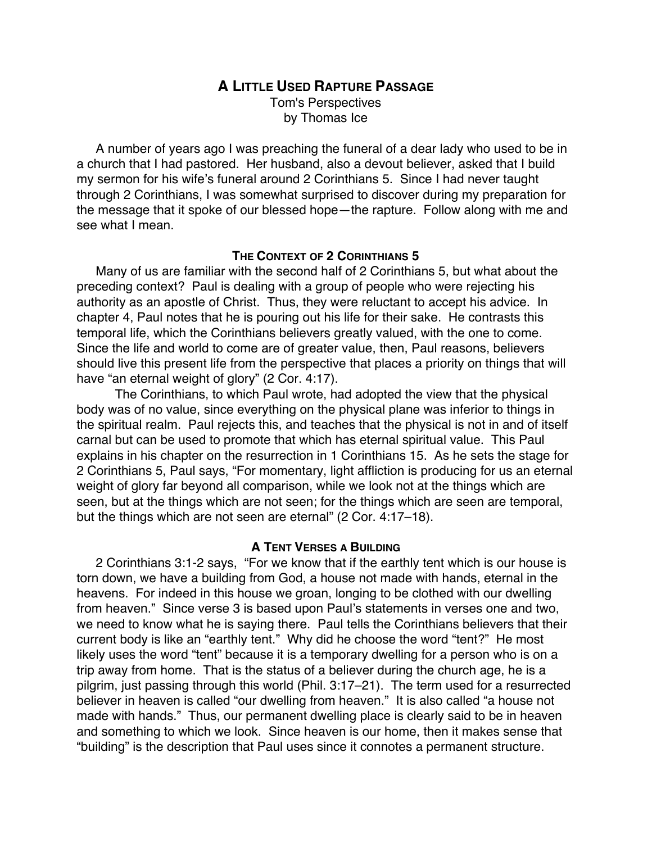# **A LITTLE USED RAPTURE PASSAGE**

Tom's Perspectives by Thomas Ice

A number of years ago I was preaching the funeral of a dear lady who used to be in a church that I had pastored. Her husband, also a devout believer, asked that I build my sermon for his wife's funeral around 2 Corinthians 5. Since I had never taught through 2 Corinthians, I was somewhat surprised to discover during my preparation for the message that it spoke of our blessed hope—the rapture. Follow along with me and see what I mean.

## **THE CONTEXT OF 2 CORINTHIANS 5**

Many of us are familiar with the second half of 2 Corinthians 5, but what about the preceding context? Paul is dealing with a group of people who were rejecting his authority as an apostle of Christ. Thus, they were reluctant to accept his advice. In chapter 4, Paul notes that he is pouring out his life for their sake. He contrasts this temporal life, which the Corinthians believers greatly valued, with the one to come. Since the life and world to come are of greater value, then, Paul reasons, believers should live this present life from the perspective that places a priority on things that will have "an eternal weight of glory" (2 Cor. 4:17).

The Corinthians, to which Paul wrote, had adopted the view that the physical body was of no value, since everything on the physical plane was inferior to things in the spiritual realm. Paul rejects this, and teaches that the physical is not in and of itself carnal but can be used to promote that which has eternal spiritual value. This Paul explains in his chapter on the resurrection in 1 Corinthians 15. As he sets the stage for 2 Corinthians 5, Paul says, "For momentary, light affliction is producing for us an eternal weight of glory far beyond all comparison, while we look not at the things which are seen, but at the things which are not seen; for the things which are seen are temporal, but the things which are not seen are eternal" (2 Cor. 4:17–18).

## **A TENT VERSES A BUILDING**

2 Corinthians 3:1-2 says, "For we know that if the earthly tent which is our house is torn down, we have a building from God, a house not made with hands, eternal in the heavens. For indeed in this house we groan, longing to be clothed with our dwelling from heaven." Since verse 3 is based upon Paul's statements in verses one and two, we need to know what he is saying there. Paul tells the Corinthians believers that their current body is like an "earthly tent." Why did he choose the word "tent?" He most likely uses the word "tent" because it is a temporary dwelling for a person who is on a trip away from home. That is the status of a believer during the church age, he is a pilgrim, just passing through this world (Phil. 3:17–21). The term used for a resurrected believer in heaven is called "our dwelling from heaven." It is also called "a house not made with hands." Thus, our permanent dwelling place is clearly said to be in heaven and something to which we look. Since heaven is our home, then it makes sense that "building" is the description that Paul uses since it connotes a permanent structure.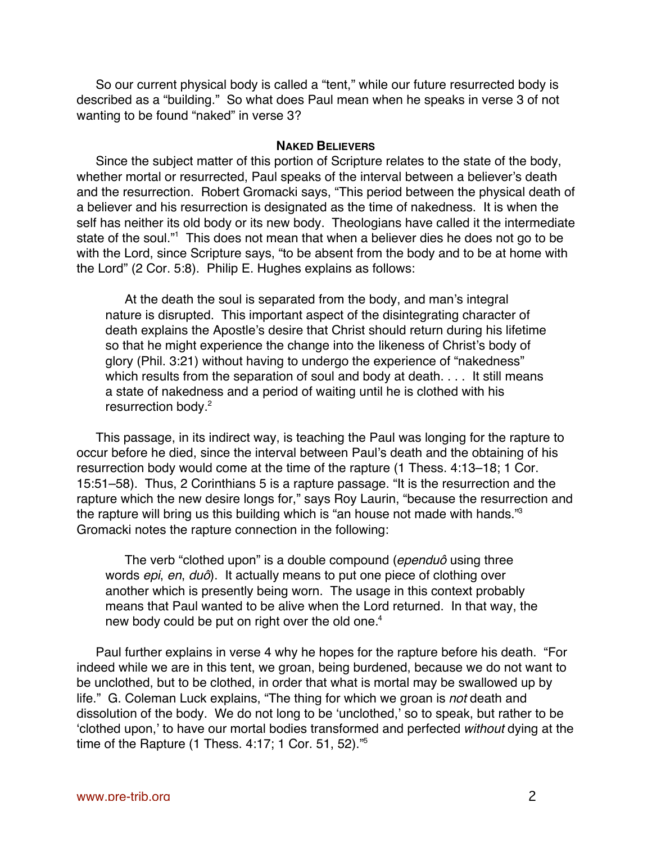So our current physical body is called a "tent," while our future resurrected body is described as a "building." So what does Paul mean when he speaks in verse 3 of not wanting to be found "naked" in verse 3?

#### **NAKED BELIEVERS**

Since the subject matter of this portion of Scripture relates to the state of the body, whether mortal or resurrected, Paul speaks of the interval between a believer's death and the resurrection. Robert Gromacki says, "This period between the physical death of a believer and his resurrection is designated as the time of nakedness. It is when the self has neither its old body or its new body. Theologians have called it the intermediate state of the soul."<sup>1</sup> This does not mean that when a believer dies he does not go to be with the Lord, since Scripture says, "to be absent from the body and to be at home with the Lord" (2 Cor. 5:8). Philip E. Hughes explains as follows:

At the death the soul is separated from the body, and man's integral nature is disrupted. This important aspect of the disintegrating character of death explains the Apostle's desire that Christ should return during his lifetime so that he might experience the change into the likeness of Christ's body of glory (Phil. 3:21) without having to undergo the experience of "nakedness" which results from the separation of soul and body at death. . . . It still means a state of nakedness and a period of waiting until he is clothed with his resurrection body.<sup>2</sup>

This passage, in its indirect way, is teaching the Paul was longing for the rapture to occur before he died, since the interval between Paul's death and the obtaining of his resurrection body would come at the time of the rapture (1 Thess. 4:13–18; 1 Cor. 15:51–58). Thus, 2 Corinthians 5 is a rapture passage. "It is the resurrection and the rapture which the new desire longs for," says Roy Laurin, "because the resurrection and the rapture will bring us this building which is "an house not made with hands."<sup>3</sup> Gromacki notes the rapture connection in the following:

The verb "clothed upon" is a double compound (ependuô using three words *epi, en, duô*). It actually means to put one piece of clothing over another which is presently being worn. The usage in this context probably means that Paul wanted to be alive when the Lord returned. In that way, the new body could be put on right over the old one.<sup>4</sup>

Paul further explains in verse 4 why he hopes for the rapture before his death. "For indeed while we are in this tent, we groan, being burdened, because we do not want to be unclothed, but to be clothed, in order that what is mortal may be swallowed up by life." G. Coleman Luck explains, "The thing for which we groan is not death and dissolution of the body. We do not long to be 'unclothed,' so to speak, but rather to be 'clothed upon,' to have our mortal bodies transformed and perfected without dying at the time of the Rapture (1 Thess. 4:17; 1 Cor. 51, 52).<sup>75</sup>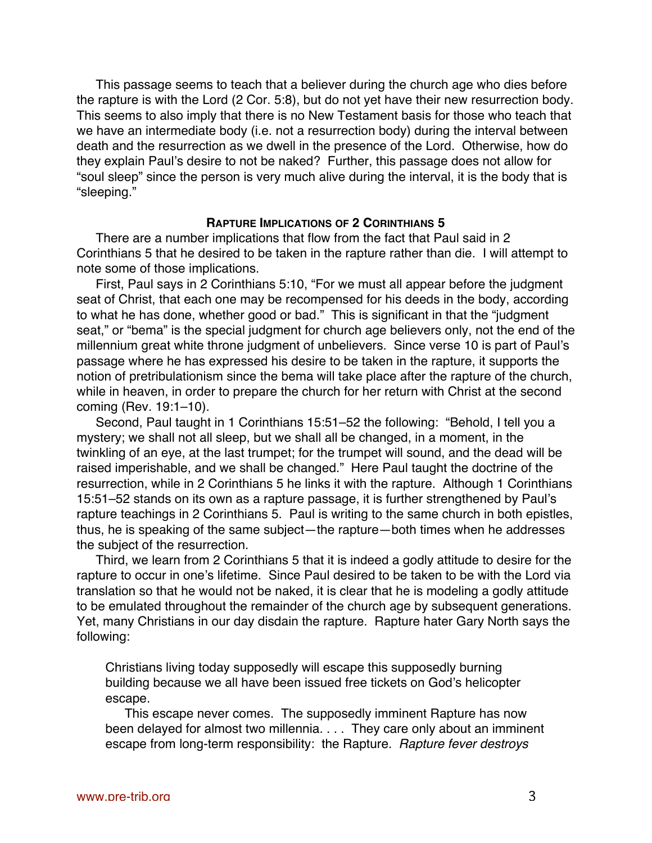This passage seems to teach that a believer during the church age who dies before the rapture is with the Lord (2 Cor. 5:8), but do not yet have their new resurrection body. This seems to also imply that there is no New Testament basis for those who teach that we have an intermediate body (i.e. not a resurrection body) during the interval between death and the resurrection as we dwell in the presence of the Lord. Otherwise, how do they explain Paul's desire to not be naked? Further, this passage does not allow for "soul sleep" since the person is very much alive during the interval, it is the body that is "sleeping."

### **RAPTURE IMPLICATIONS OF 2 CORINTHIANS 5**

There are a number implications that flow from the fact that Paul said in 2 Corinthians 5 that he desired to be taken in the rapture rather than die. I will attempt to note some of those implications.

First, Paul says in 2 Corinthians 5:10, "For we must all appear before the judgment seat of Christ, that each one may be recompensed for his deeds in the body, according to what he has done, whether good or bad." This is significant in that the "judgment seat," or "bema" is the special judgment for church age believers only, not the end of the millennium great white throne judgment of unbelievers. Since verse 10 is part of Paul's passage where he has expressed his desire to be taken in the rapture, it supports the notion of pretribulationism since the bema will take place after the rapture of the church, while in heaven, in order to prepare the church for her return with Christ at the second coming (Rev. 19:1–10).

Second, Paul taught in 1 Corinthians 15:51–52 the following: "Behold, I tell you a mystery; we shall not all sleep, but we shall all be changed, in a moment, in the twinkling of an eye, at the last trumpet; for the trumpet will sound, and the dead will be raised imperishable, and we shall be changed." Here Paul taught the doctrine of the resurrection, while in 2 Corinthians 5 he links it with the rapture. Although 1 Corinthians 15:51–52 stands on its own as a rapture passage, it is further strengthened by Paul's rapture teachings in 2 Corinthians 5. Paul is writing to the same church in both epistles, thus, he is speaking of the same subject—the rapture—both times when he addresses the subject of the resurrection.

Third, we learn from 2 Corinthians 5 that it is indeed a godly attitude to desire for the rapture to occur in one's lifetime. Since Paul desired to be taken to be with the Lord via translation so that he would not be naked, it is clear that he is modeling a godly attitude to be emulated throughout the remainder of the church age by subsequent generations. Yet, many Christians in our day disdain the rapture. Rapture hater Gary North says the following:

Christians living today supposedly will escape this supposedly burning building because we all have been issued free tickets on God's helicopter escape.

This escape never comes. The supposedly imminent Rapture has now been delayed for almost two millennia. . . . They care only about an imminent escape from long-term responsibility: the Rapture. Rapture fever destroys